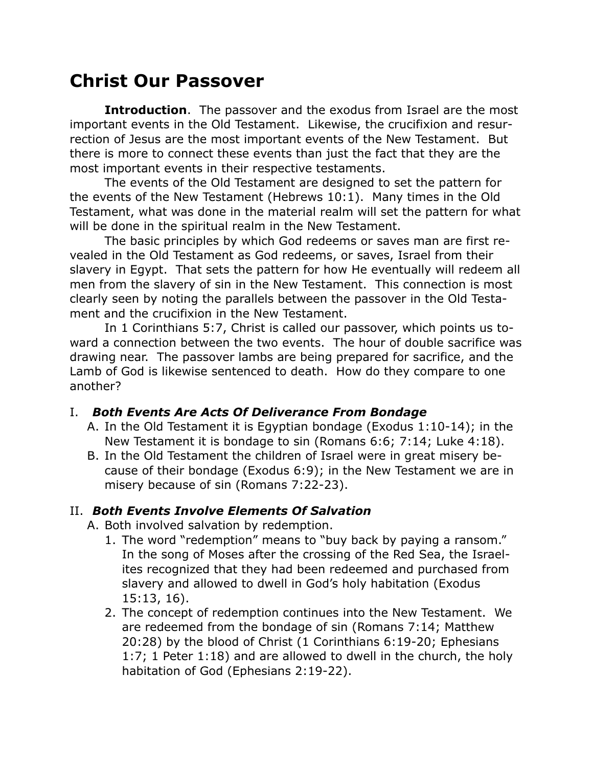# **Christ Our Passover**

**Introduction**. The passover and the exodus from Israel are the most important events in the Old Testament. Likewise, the crucifixion and resurrection of Jesus are the most important events of the New Testament. But there is more to connect these events than just the fact that they are the most important events in their respective testaments.

The events of the Old Testament are designed to set the pattern for the events of the New Testament (Hebrews 10:1). Many times in the Old Testament, what was done in the material realm will set the pattern for what will be done in the spiritual realm in the New Testament.

The basic principles by which God redeems or saves man are first revealed in the Old Testament as God redeems, or saves, Israel from their slavery in Egypt. That sets the pattern for how He eventually will redeem all men from the slavery of sin in the New Testament. This connection is most clearly seen by noting the parallels between the passover in the Old Testament and the crucifixion in the New Testament.

In 1 Corinthians 5:7, Christ is called our passover, which points us toward a connection between the two events. The hour of double sacrifice was drawing near. The passover lambs are being prepared for sacrifice, and the Lamb of God is likewise sentenced to death. How do they compare to one another?

#### I. *Both Events Are Acts Of Deliverance From Bondage*

- A. In the Old Testament it is Egyptian bondage (Exodus 1:10-14); in the New Testament it is bondage to sin (Romans 6:6; 7:14; Luke 4:18).
- B. In the Old Testament the children of Israel were in great misery because of their bondage (Exodus 6:9); in the New Testament we are in misery because of sin (Romans 7:22-23).

### II. *Both Events Involve Elements Of Salvation*

A. Both involved salvation by redemption.

- 1. The word "redemption" means to "buy back by paying a ransom." In the song of Moses after the crossing of the Red Sea, the Israelites recognized that they had been redeemed and purchased from slavery and allowed to dwell in God's holy habitation (Exodus 15:13, 16).
- 2. The concept of redemption continues into the New Testament. We are redeemed from the bondage of sin (Romans 7:14; Matthew 20:28) by the blood of Christ (1 Corinthians 6:19-20; Ephesians 1:7; 1 Peter 1:18) and are allowed to dwell in the church, the holy habitation of God (Ephesians 2:19-22).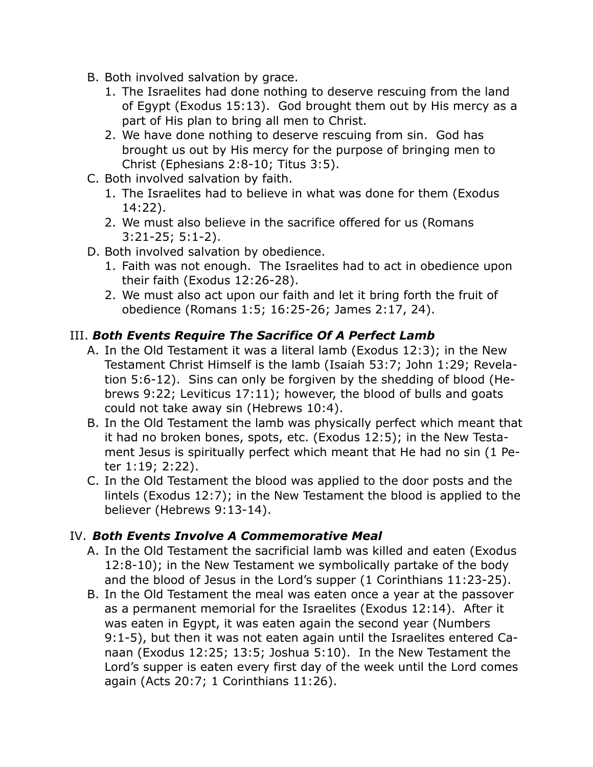- B. Both involved salvation by grace.
	- 1. The Israelites had done nothing to deserve rescuing from the land of Egypt (Exodus 15:13). God brought them out by His mercy as a part of His plan to bring all men to Christ.
	- 2. We have done nothing to deserve rescuing from sin. God has brought us out by His mercy for the purpose of bringing men to Christ (Ephesians 2:8-10; Titus 3:5).
- C. Both involved salvation by faith.
	- 1. The Israelites had to believe in what was done for them (Exodus 14:22).
	- 2. We must also believe in the sacrifice offered for us (Romans 3:21-25; 5:1-2).
- D. Both involved salvation by obedience.
	- 1. Faith was not enough. The Israelites had to act in obedience upon their faith (Exodus 12:26-28).
	- 2. We must also act upon our faith and let it bring forth the fruit of obedience (Romans 1:5; 16:25-26; James 2:17, 24).

## III. *Both Events Require The Sacrifice Of A Perfect Lamb*

- A. In the Old Testament it was a literal lamb (Exodus 12:3); in the New Testament Christ Himself is the lamb (Isaiah 53:7; John 1:29; Revelation 5:6-12). Sins can only be forgiven by the shedding of blood (Hebrews 9:22; Leviticus 17:11); however, the blood of bulls and goats could not take away sin (Hebrews 10:4).
- B. In the Old Testament the lamb was physically perfect which meant that it had no broken bones, spots, etc. (Exodus 12:5); in the New Testament Jesus is spiritually perfect which meant that He had no sin (1 Peter 1:19; 2:22).
- C. In the Old Testament the blood was applied to the door posts and the lintels (Exodus 12:7); in the New Testament the blood is applied to the believer (Hebrews 9:13-14).

### IV. *Both Events Involve A Commemorative Meal*

- A. In the Old Testament the sacrificial lamb was killed and eaten (Exodus 12:8-10); in the New Testament we symbolically partake of the body and the blood of Jesus in the Lord's supper (1 Corinthians 11:23-25).
- B. In the Old Testament the meal was eaten once a year at the passover as a permanent memorial for the Israelites (Exodus 12:14). After it was eaten in Egypt, it was eaten again the second year (Numbers 9:1-5), but then it was not eaten again until the Israelites entered Canaan (Exodus 12:25; 13:5; Joshua 5:10). In the New Testament the Lord's supper is eaten every first day of the week until the Lord comes again (Acts 20:7; 1 Corinthians 11:26).